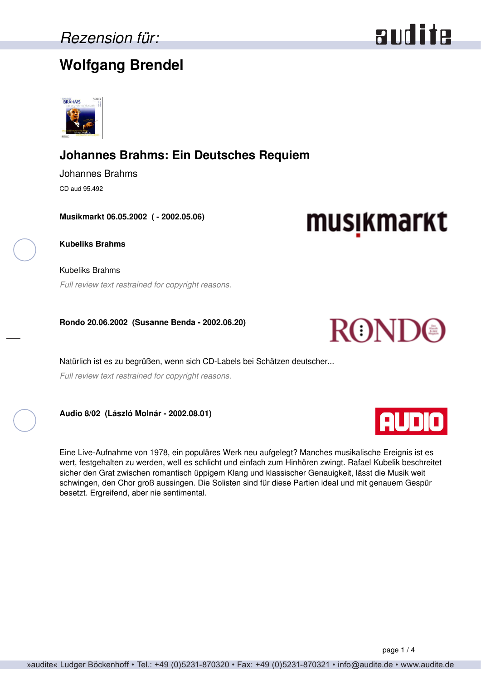### **Wolfgang Brendel**



### **Johannes Brahms: Ein Deutsches Requiem**

Johannes Brahms CD aud 95.492

**Musikmarkt 06.05.2002 ( - 2002.05.06)**

**Kubeliks Brahms**

Kubeliks Brahms *Full review text restrained for copyright reasons.*

**Rondo 20.06.2002 (Susanne Benda - 2002.06.20)**

Natürlich ist es zu begrüßen, wenn sich CD-Labels bei Schätzen deutscher... *Full review text restrained for copyright reasons.*

**Audio 8/02 (László Molnár - 2002.08.01)**

Eine Live-Aufnahme von 1978, ein populäres Werk neu aufgelegt? Manches musikalische Ereignis ist es wert, festgehalten zu werden, weIl es schlicht und einfach zum Hinhören zwingt. Rafael Kubelik beschreitet sicher den Grat zwischen romantisch üppigem Klang und klassischer Genauigkeit, lässt die Musik weit schwingen, den Chor groß aussingen. Die Solisten sind für diese Partien ideal und mit genauem Gespür besetzt. Ergreifend, aber nie sentimental.







musikmarkt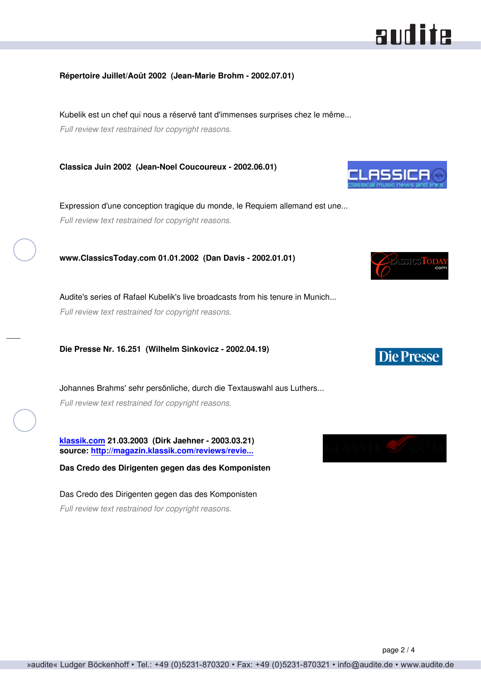# audite

### **Répertoire Juillet/Août 2002 (Jean-Marie Brohm - 2002.07.01)**

Kubelik est un chef qui nous a réservé tant d'immenses surprises chez le même... *Full review text restrained for copyright reasons.*

**Classica Juin 2002 (Jean-Noel Coucoureux - 2002.06.01)**

Expression d'une conception tragique du monde, le Requiem allemand est une... *Full review text restrained for copyright reasons.*

**www.ClassicsToday.com 01.01.2002 (Dan Davis - 2002.01.01)**

Audite's series of Rafael Kubelik's live broadcasts from his tenure in Munich... *Full review text restrained for copyright reasons.*

**Die Presse Nr. 16.251 (Wilhelm Sinkovicz - 2002.04.19)**

Johannes Brahms' sehr persönliche, durch die Textauswahl aus Luthers... *Full review text restrained for copyright reasons.*

**[klassik.com](http://www.klassik.com) 21.03.2003 (Dirk Jaehner - 2003.03.21) source: [http://magazin.klassik.com/reviews/revie...](http://magazin.klassik.com/reviews/reviews.cfm?TASK=REVIEW&RECID=1932&REID=1511)**

**Das Credo des Dirigenten gegen das des Komponisten**

Das Credo des Dirigenten gegen das des Komponisten *Full review text restrained for copyright reasons.*







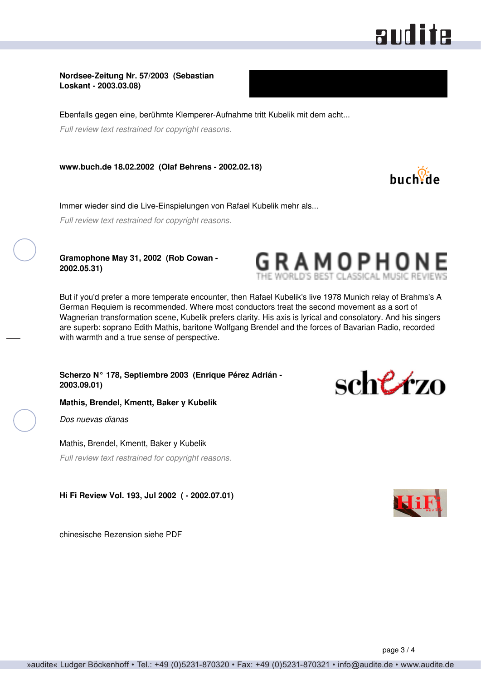## audite

buch<sup>o2</sup>de

#### **Nordsee-Zeitung Nr. 57/2003 (Sebastian Loskant - 2003.03.08)**

Ebenfalls gegen eine, berühmte Klemperer-Aufnahme tritt Kubelik mit dem acht...

*Full review text restrained for copyright reasons.*

**www.buch.de 18.02.2002 (Olaf Behrens - 2002.02.18)**

Immer wieder sind die Live-Einspielungen von Rafael Kubelik mehr als...

*Full review text restrained for copyright reasons.*

**Gramophone May 31, 2002 (Rob Cowan - 2002.05.31)**



But if you'd prefer a more temperate encounter, then Rafael Kubelik's live 1978 Munich relay of Brahms's A German Requiem is recommended. Where most conductors treat the second movement as a sort of Wagnerian transformation scene, Kubelik prefers clarity. His axis is lyrical and consolatory. And his singers are superb: soprano Edith Mathis, baritone Wolfgang Brendel and the forces of Bavarian Radio, recorded with warmth and a true sense of perspective.

**Scherzo N° 178, Septiembre 2003 (Enrique Pérez Adrián - 2003.09.01)**

**Mathis, Brendel, Kmentt, Baker y Kubelik**

*Dos nuevas dianas*

Mathis, Brendel, Kmentt, Baker y Kubelik

*Full review text restrained for copyright reasons.*

**Hi Fi Review Vol. 193, Jul 2002 ( - 2002.07.01)**

chinesische Rezension siehe PDF